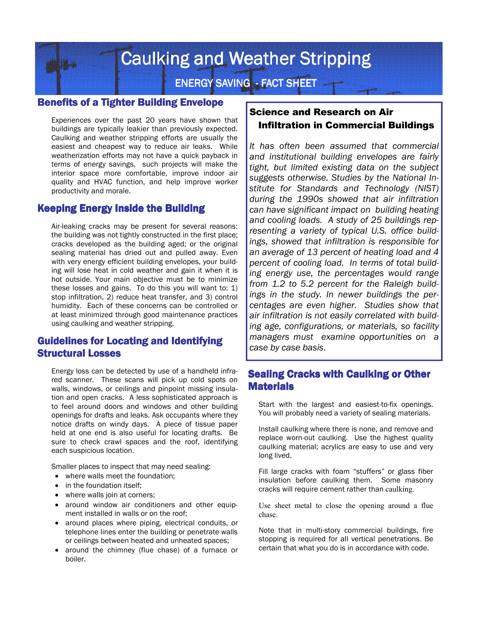**Caulking and Weather Stripping** 

**ENERGY SAVING - FACT SHEET** 

#### **Benefits of a Tighter Building Envelope**

Experiences over the past 20 years have shown that buildings are typically leakier than previously expected. Caulking and weather stripping efforts are usually the easiest and cheapest way to reduce air leaks. While weatherization efforts may not have a quick payback in terms of energy savings, such projects will make the interior space more comfortable, improve indoor air quality and HVAC function, and help improve worker productivity and morale.

### Keeping Energy Inside the Building

Air-leaking cracks may be present for several reasons: the building was not tightly constructed in the first place; cracks developed as the building aged; or the original sealing material has dried out and pulled away. Even with very energy efficient building envelopes, your building will lose heat in cold weather and gain it when it is hot outside. Your main objective must be to minimize these losses and gains. To do this you will want to: 1) stop infiltration, 2) reduce heat transfer, and 3) control humidity. Each of these concerns can be controlled or at least minimized through good maintenance practices using caulking and weather stripping.

# Guidelines for Locating and Identifying Structural Losses

Energy loss can be detected by use of a handheld infrared scanner. These scans will pick up cold spots on walls, windows, or ceilings and pinpoint missing insulation and open cracks. A less sophisticated approach is to feel around doors and windows and other building openings for drafts and leaks. Ask occupants where they notice drafts on windy days. A piece of tissue paper held at one end is also useful for locating drafts. Be sure to check crawl spaces and the roof, identifying each suspicious location.

Smaller places to inspect that may need sealing:

- where walls meet the foundation;
- in the foundation itself;
- where walls join at corners;
- around window air conditioners and other equipment installed in walls or on the roof;
- around places where piping, electrical conduits, or telephone lines enter the building or penetrate walls or ceilings between heated and unheated spaces;
- around the chimney (flue chase) of a furnace or boiler.

# Science and Research on Air Infiltration in Commercial Buildings

*It has often been assumed that commercial and institutional building envelopes are fairly tight, but limited existing data on the subject suggests otherwise. Studies by the National Institute for Standards and Technology (NIST) during the 1990s showed that air infiltration can have significant impact on building heating and cooling loads. A study of 25 buildings representing a variety of typical U.S. office buildings, showed that infiltration is responsible for an average of 13 percent of heating load and 4 percent of cooling load. In terms of total building energy use, the percentages would range from 1.2 to 5.2 percent for the Raleigh buildings in the study. In newer buildings the percentages are even higher. Studies show that air infiltration is not easily correlated with building age, configurations, or materials, so facility managers must examine opportunities on a case by case basis*.

### Sealing Cracks with Caulking or Other **Materials**

Start with the largest and easiest-to-fix openings. You will probably need a variety of sealing materials.

Install caulking where there is none, and remove and replace worn-out caulking. Use the highest quality caulking material; acrylics are easy to use and very long lived.

Fill large cracks with foam "stuffers" or glass fiber insulation before caulking them. Some masonry cracks will require cement rather than caulking.

Use sheet metal to close the opening around a flue chase.

Note that in multi-story commercial buildings, fire stopping is required for all vertical penetrations. Be certain that what you do is in accordance with code.